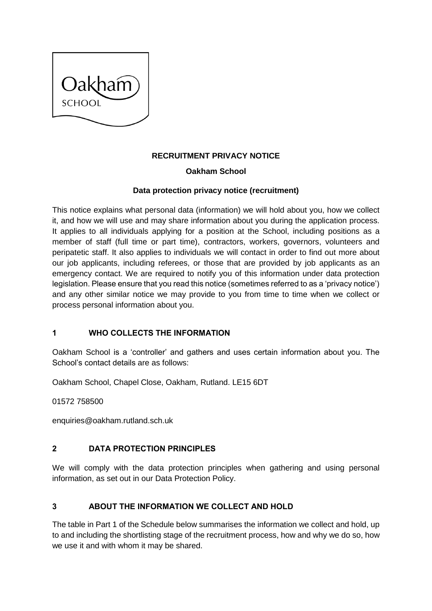

## **RECRUITMENT PRIVACY NOTICE**

### **Oakham School**

### **Data protection privacy notice (recruitment)**

This notice explains what personal data (information) we will hold about you, how we collect it, and how we will use and may share information about you during the application process. It applies to all individuals applying for a position at the School, including positions as a member of staff (full time or part time), contractors, workers, governors, volunteers and peripatetic staff. It also applies to individuals we will contact in order to find out more about our job applicants, including referees, or those that are provided by job applicants as an emergency contact. We are required to notify you of this information under data protection legislation. Please ensure that you read this notice (sometimes referred to as a 'privacy notice') and any other similar notice we may provide to you from time to time when we collect or process personal information about you.

### **1 WHO COLLECTS THE INFORMATION**

Oakham School is a 'controller' and gathers and uses certain information about you. The School's contact details are as follows:

Oakham School, Chapel Close, Oakham, Rutland. LE15 6DT

01572 758500

enquiries@oakham.rutland.sch.uk

### **2 DATA PROTECTION PRINCIPLES**

We will comply with the data protection principles when gathering and using personal information, as set out in our Data Protection Policy.

### **3 ABOUT THE INFORMATION WE COLLECT AND HOLD**

The table in [Part 1](#page-3-0) of the Schedule below summarises the information we collect and hold, up to and including the shortlisting stage of the recruitment process, how and why we do so, how we use it and with whom it may be shared.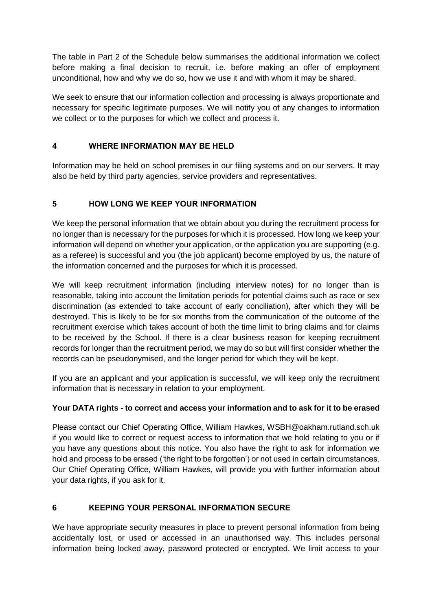The table in [Part 2](#page-4-0) of the Schedule below summarises the additional information we collect before making a final decision to recruit, i.e. before making an offer of employment unconditional, how and why we do so, how we use it and with whom it may be shared.

We seek to ensure that our information collection and processing is always proportionate and necessary for specific legitimate purposes. We will notify you of any changes to information we collect or to the purposes for which we collect and process it.

## **4 WHERE INFORMATION MAY BE HELD**

Information may be held on school premises in our filing systems and on our servers. It may also be held by third party agencies, service providers and representatives.

## **5 HOW LONG WE KEEP YOUR INFORMATION**

We keep the personal information that we obtain about you during the recruitment process for no longer than is necessary for the purposes for which it is processed. How long we keep your information will depend on whether your application, or the application you are supporting (e.g. as a referee) is successful and you (the job applicant) become employed by us, the nature of the information concerned and the purposes for which it is processed.

We will keep recruitment information (including interview notes) for no longer than is reasonable, taking into account the limitation periods for potential claims such as race or sex discrimination (as extended to take account of early conciliation), after which they will be destroyed. This is likely to be for six months from the communication of the outcome of the recruitment exercise which takes account of both the time limit to bring claims and for claims to be received by the School. If there is a clear business reason for keeping recruitment records for longer than the recruitment period, we may do so but will first consider whether the records can be pseudonymised, and the longer period for which they will be kept.

If you are an applicant and your application is successful, we will keep only the recruitment information that is necessary in relation to your employment.

## **Your DATA rights - to correct and access your information and to ask for it to be erased**

Please contact our Chief Operating Office, William Hawkes, WSBH@oakham.rutland.sch.uk if you would like to correct or request access to information that we hold relating to you or if you have any questions about this notice. You also have the right to ask for information we hold and process to be erased ('the right to be forgotten') or not used in certain circumstances. Our Chief Operating Office, William Hawkes, will provide you with further information about your data rights, if you ask for it.

## **6 KEEPING YOUR PERSONAL INFORMATION SECURE**

We have appropriate security measures in place to prevent personal information from being accidentally lost, or used or accessed in an unauthorised way. This includes personal information being locked away, password protected or encrypted. We limit access to your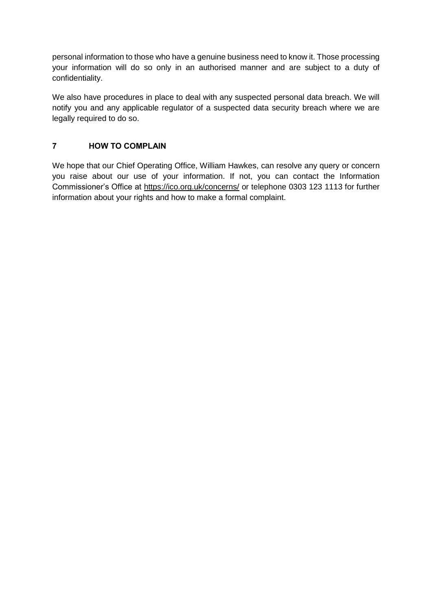personal information to those who have a genuine business need to know it. Those processing your information will do so only in an authorised manner and are subject to a duty of confidentiality.

We also have procedures in place to deal with any suspected personal data breach. We will notify you and any applicable regulator of a suspected data security breach where we are legally required to do so.

### **7 HOW TO COMPLAIN**

We hope that our Chief Operating Office, William Hawkes, can resolve any query or concern you raise about our use of your information. If not, you can contact the Information Commissioner's Office at https://ico.org.uk/concerns/ or telephone 0303 123 1113 for further information about your rights and how to make a formal complaint.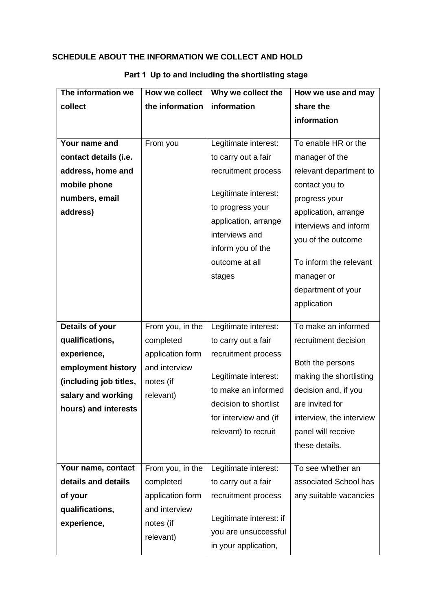## **SCHEDULE ABOUT THE INFORMATION WE COLLECT AND HOLD**

| The information we     | How we collect   | Why we collect the      | How we use and may       |
|------------------------|------------------|-------------------------|--------------------------|
| collect                | the information  | information             | share the                |
|                        |                  |                         | information              |
|                        |                  |                         |                          |
| Your name and          | From you         | Legitimate interest:    | To enable HR or the      |
| contact details (i.e.  |                  | to carry out a fair     | manager of the           |
| address, home and      |                  | recruitment process     | relevant department to   |
| mobile phone           |                  |                         | contact you to           |
| numbers, email         |                  | Legitimate interest:    | progress your            |
| address)               |                  | to progress your        | application, arrange     |
|                        |                  | application, arrange    | interviews and inform    |
|                        |                  | interviews and          | you of the outcome       |
|                        |                  | inform you of the       |                          |
|                        |                  | outcome at all          | To inform the relevant   |
|                        |                  | stages                  | manager or               |
|                        |                  |                         | department of your       |
|                        |                  |                         | application              |
| Details of your        | From you, in the |                         | To make an informed      |
|                        |                  | Legitimate interest:    |                          |
| qualifications,        | completed        | to carry out a fair     | recruitment decision     |
| experience,            | application form | recruitment process     | Both the persons         |
| employment history     | and interview    | Legitimate interest:    | making the shortlisting  |
| (including job titles, | notes (if        | to make an informed     | decision and, if you     |
| salary and working     | relevant)        | decision to shortlist   | are invited for          |
| hours) and interests   |                  | for interview and (if   | interview, the interview |
|                        |                  | relevant) to recruit    | panel will receive       |
|                        |                  |                         | these details.           |
|                        |                  |                         |                          |
| Your name, contact     | From you, in the | Legitimate interest:    | To see whether an        |
| details and details    | completed        | to carry out a fair     | associated School has    |
| of your                | application form | recruitment process     | any suitable vacancies   |
| qualifications,        | and interview    |                         |                          |
| experience,            | notes (if        | Legitimate interest: if |                          |
|                        | relevant)        | you are unsuccessful    |                          |
|                        |                  | in your application,    |                          |

# <span id="page-3-0"></span>**Part 1 Up to and including the shortlisting stage**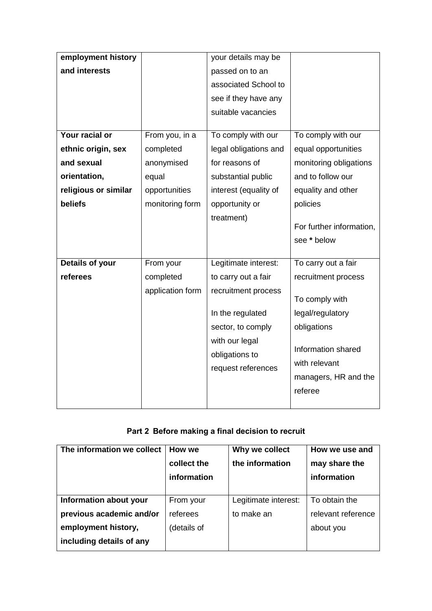| employment history   |                  | your details may be   |                          |
|----------------------|------------------|-----------------------|--------------------------|
| and interests        |                  | passed on to an       |                          |
|                      |                  | associated School to  |                          |
|                      |                  | see if they have any  |                          |
|                      |                  | suitable vacancies    |                          |
|                      |                  |                       |                          |
| Your racial or       | From you, in a   | To comply with our    | To comply with our       |
| ethnic origin, sex   | completed        | legal obligations and | equal opportunities      |
| and sexual           | anonymised       | for reasons of        | monitoring obligations   |
| orientation,         | equal            | substantial public    | and to follow our        |
| religious or similar | opportunities    | interest (equality of | equality and other       |
| beliefs              | monitoring form  | opportunity or        | policies                 |
|                      |                  | treatment)            |                          |
|                      |                  |                       | For further information, |
|                      |                  |                       | see * below              |
|                      |                  |                       |                          |
| Details of your      | From your        | Legitimate interest:  | To carry out a fair      |
| referees             | completed        | to carry out a fair   | recruitment process      |
|                      | application form | recruitment process   | To comply with           |
|                      |                  | In the regulated      | legal/regulatory         |
|                      |                  | sector, to comply     | obligations              |
|                      |                  |                       |                          |
|                      |                  | with our legal        |                          |
|                      |                  | obligations to        | Information shared       |
|                      |                  |                       | with relevant            |
|                      |                  | request references    | managers, HR and the     |
|                      |                  |                       | referee                  |

# <span id="page-4-0"></span>**Part 2 Before making a final decision to recruit**

| The information we collect | How we<br>collect the<br>information | Why we collect<br>the information | How we use and<br>may share the<br>information |
|----------------------------|--------------------------------------|-----------------------------------|------------------------------------------------|
| Information about your     | From your                            | Legitimate interest:              | To obtain the                                  |
| previous academic and/or   | referees                             | to make an                        | relevant reference                             |
| employment history,        | (details of                          |                                   | about you                                      |
| including details of any   |                                      |                                   |                                                |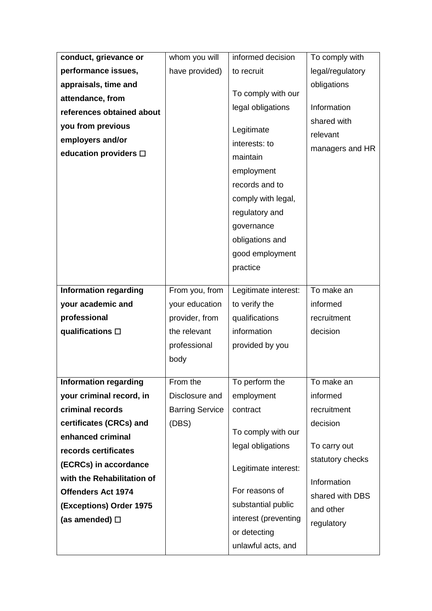| conduct, grievance or        | whom you will          | informed decision             | To comply with   |
|------------------------------|------------------------|-------------------------------|------------------|
| performance issues,          | have provided)         | to recruit                    | legal/regulatory |
| appraisals, time and         |                        |                               | obligations      |
| attendance, from             |                        | To comply with our            |                  |
| references obtained about    |                        | legal obligations             | Information      |
| you from previous            |                        | Legitimate                    | shared with      |
| employers and/or             |                        | interests: to                 | relevant         |
| education providers □        |                        | maintain                      | managers and HR  |
|                              |                        | employment                    |                  |
|                              |                        | records and to                |                  |
|                              |                        | comply with legal,            |                  |
|                              |                        | regulatory and                |                  |
|                              |                        |                               |                  |
|                              |                        | governance<br>obligations and |                  |
|                              |                        | good employment               |                  |
|                              |                        | practice                      |                  |
|                              |                        |                               |                  |
| <b>Information regarding</b> | From you, from         | Legitimate interest:          | To make an       |
| your academic and            | your education         | to verify the                 | informed         |
| professional                 | provider, from         | qualifications                | recruitment      |
| qualifications $\square$     | the relevant           | information                   | decision         |
|                              | professional           | provided by you               |                  |
|                              | body                   |                               |                  |
|                              |                        |                               |                  |
| <b>Information regarding</b> | From the               | To perform the                | To make an       |
| your criminal record, in     | Disclosure and         | employment                    | informed         |
| criminal records             | <b>Barring Service</b> | contract                      | recruitment      |
| certificates (CRCs) and      | (DBS)                  | To comply with our            | decision         |
| enhanced criminal            |                        | legal obligations             | To carry out     |
| records certificates         |                        |                               | statutory checks |
| (ECRCs) in accordance        |                        | Legitimate interest:          |                  |
| with the Rehabilitation of   |                        |                               | Information      |
| <b>Offenders Act 1974</b>    |                        | For reasons of                | shared with DBS  |
| (Exceptions) Order 1975      |                        | substantial public            | and other        |
| (as amended) $\square$       |                        | interest (preventing          | regulatory       |
|                              |                        | or detecting                  |                  |
|                              |                        | unlawful acts, and            |                  |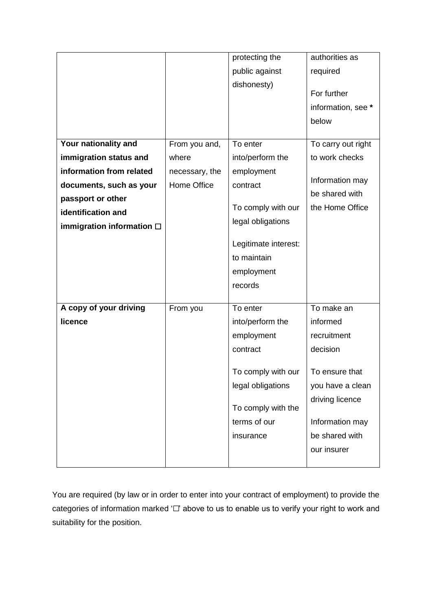|                                   |                | protecting the       | authorities as     |
|-----------------------------------|----------------|----------------------|--------------------|
|                                   |                | public against       | required           |
|                                   |                | dishonesty)          |                    |
|                                   |                |                      | For further        |
|                                   |                |                      | information, see * |
|                                   |                |                      | below              |
|                                   |                |                      |                    |
| Your nationality and              | From you and,  | To enter             | To carry out right |
| immigration status and            | where          | into/perform the     | to work checks     |
| information from related          | necessary, the | employment           | Information may    |
| documents, such as your           | Home Office    | contract             | be shared with     |
| passport or other                 |                |                      |                    |
| identification and                |                | To comply with our   | the Home Office    |
| immigration information $\square$ |                | legal obligations    |                    |
|                                   |                | Legitimate interest: |                    |
|                                   |                | to maintain          |                    |
|                                   |                |                      |                    |
|                                   |                | employment           |                    |
|                                   |                | records              |                    |
| A copy of your driving            | From you       | To enter             | To make an         |
| licence                           |                | into/perform the     | informed           |
|                                   |                | employment           | recruitment        |
|                                   |                | contract             | decision           |
|                                   |                |                      |                    |
|                                   |                | To comply with our   | To ensure that     |
|                                   |                | legal obligations    | you have a clean   |
|                                   |                |                      | driving licence    |
|                                   |                | To comply with the   |                    |
|                                   |                | terms of our         | Information may    |
|                                   |                | insurance            | be shared with     |
|                                   |                |                      | our insurer        |
|                                   |                |                      |                    |

You are required (by law or in order to enter into your contract of employment) to provide the categories of information marked '□' above to us to enable us to verify your right to work and suitability for the position.